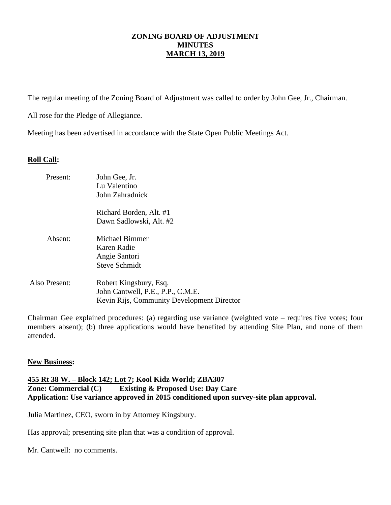# **ZONING BOARD OF ADJUSTMENT MINUTES MARCH 13, 2019**

The regular meeting of the Zoning Board of Adjustment was called to order by John Gee, Jr., Chairman.

All rose for the Pledge of Allegiance.

Meeting has been advertised in accordance with the State Open Public Meetings Act.

# **Roll Call:**

| Present:      | John Gee, Jr.<br>Lu Valentino<br>John Zahradnick                                                          |
|---------------|-----------------------------------------------------------------------------------------------------------|
|               | Richard Borden, Alt. #1<br>Dawn Sadlowski, Alt. #2                                                        |
| Absent:       | Michael Bimmer<br>Karen Radie<br>Angie Santori<br><b>Steve Schmidt</b>                                    |
| Also Present: | Robert Kingsbury, Esq.<br>John Cantwell, P.E., P.P., C.M.E.<br>Kevin Rijs, Community Development Director |

Chairman Gee explained procedures: (a) regarding use variance (weighted vote – requires five votes; four members absent); (b) three applications would have benefited by attending Site Plan, and none of them attended.

# **New Business:**

# **455 Rt 38 W. – Block 142; Lot 7; Kool Kidz World; ZBA307 Existing & Proposed Use: Day Care Application: Use variance approved in 2015 conditioned upon survey-site plan approval.**

Julia Martinez, CEO, sworn in by Attorney Kingsbury.

Has approval; presenting site plan that was a condition of approval.

Mr. Cantwell: no comments.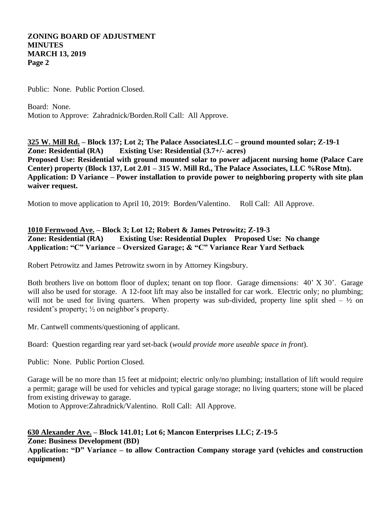# **ZONING BOARD OF ADJUSTMENT MINUTES MARCH 13, 2019 Page 2**

Public: None. Public Portion Closed.

Board: None. Motion to Approve: Zahradnick/Borden.Roll Call: All Approve.

**325 W. Mill Rd. – Block 137; Lot 2; The Palace AssociatesLLC – ground mounted solar; Z-19-1 Zone: Residential (RA) Existing Use: Residential (3.7+/- acres) Proposed Use: Residential with ground mounted solar to power adjacent nursing home (Palace Care Center) property (Block 137, Lot 2.01 – 315 W. Mill Rd., The Palace Associates, LLC %Rose Mtn). Application: D Variance – Power installation to provide power to neighboring property with site plan waiver request.**

Motion to move application to April 10, 2019: Borden/Valentino. Roll Call: All Approve.

# **1010 Fernwood Ave. – Block 3; Lot 12; Robert & James Petrowitz; Z-19-3 Zone: Residential (RA) Existing Use: Residential Duplex Proposed Use: No change Application: "C" Variance – Oversized Garage; & "C" Variance Rear Yard Setback**

Robert Petrowitz and James Petrowitz sworn in by Attorney Kingsbury.

Both brothers live on bottom floor of duplex; tenant on top floor. Garage dimensions: 40' X 30'. Garage will also be used for storage. A 12-foot lift may also be installed for car work. Electric only; no plumbing; will not be used for living quarters. When property was sub-divided, property line split shed –  $\frac{1}{2}$  on resident's property; ½ on neighbor's property.

Mr. Cantwell comments/questioning of applicant.

Board: Question regarding rear yard set-back (*would provide more useable space in front*).

Public: None. Public Portion Closed.

Garage will be no more than 15 feet at midpoint; electric only/no plumbing; installation of lift would require a permit; garage will be used for vehicles and typical garage storage; no living quarters; stone will be placed from existing driveway to garage.

Motion to Approve:Zahradnick/Valentino. Roll Call: All Approve.

# **630 Alexander Ave. – Block 141.01; Lot 6; Mancon Enterprises LLC; Z-19-5 Zone: Business Development (BD)**

**Application: "D" Variance – to allow Contraction Company storage yard (vehicles and construction equipment)**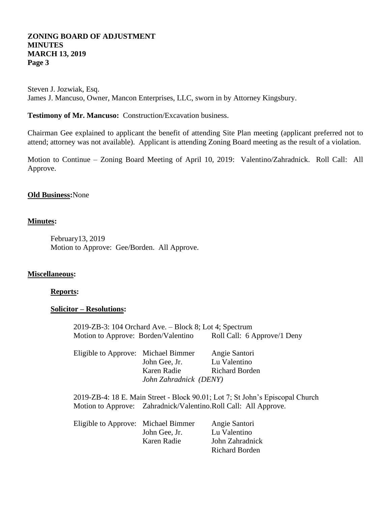# **ZONING BOARD OF ADJUSTMENT MINUTES MARCH 13, 2019 Page 3**

Steven J. Jozwiak, Esq. James J. Mancuso, Owner, Mancon Enterprises, LLC, sworn in by Attorney Kingsbury.

**Testimony of Mr. Mancuso:** Construction/Excavation business.

Chairman Gee explained to applicant the benefit of attending Site Plan meeting (applicant preferred not to attend; attorney was not available). Applicant is attending Zoning Board meeting as the result of a violation.

Motion to Continue – Zoning Board Meeting of April 10, 2019: Valentino/Zahradnick. Roll Call: All Approve.

# **Old Business:**None

#### **Minutes:**

February13, 2019 Motion to Approve: Gee/Borden. All Approve.

# **Miscellaneous:**

### **Reports:**

## **Solicitor – Resolutions:**

2019-ZB-3: 104 Orchard Ave. – Block 8; Lot 4; Spectrum Motion to Approve: Borden/Valentino Roll Call: 6 Approve/1 Deny

| Eligible to Approve: Michael Bimmer |                        | Angie Santori         |
|-------------------------------------|------------------------|-----------------------|
|                                     | John Gee, Jr.          | Lu Valentino          |
|                                     | Karen Radie            | <b>Richard Borden</b> |
|                                     | John Zahradnick (DENY) |                       |

2019-ZB-4: 18 E. Main Street - Block 90.01; Lot 7; St John's Episcopal Church Motion to Approve: Zahradnick/Valentino.Roll Call: All Approve.

| Eligible to Approve: Michael Bimmer |               | Angie Santori   |
|-------------------------------------|---------------|-----------------|
|                                     | John Gee, Jr. | Lu Valentino    |
|                                     | Karen Radie   | John Zahradnick |
|                                     |               | Richard Borden  |